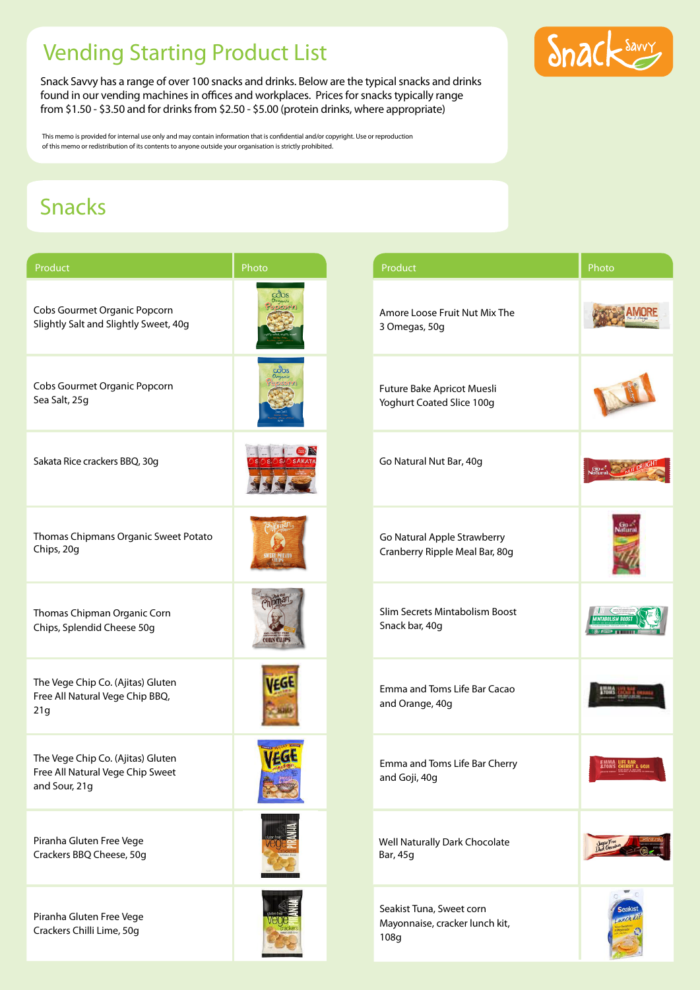## Vending Starting Product List

Snack Savvy has a range of over 100 snacks and drinks. Below are the typical snacks and drinks found in our vending machines in offices and workplaces. Prices for snacks typically range from \$1.50 - \$3.50 and for drinks from \$2.50 - \$5.00 (protein drinks, where appropriate)

This memo is provided for internal use only and may contain information that is confidential and/or copyright. Use or reproduction of this memo or redistribution of its contents to anyone outside your organisation is strictly prohibited.

## Snacks

| Product                                                                                | Photo           | Product                                                            | Photo |
|----------------------------------------------------------------------------------------|-----------------|--------------------------------------------------------------------|-------|
| Cobs Gourmet Organic Popcorn<br>Slightly Salt and Slightly Sweet, 40g                  |                 | Amore Loose Fruit Nut Mix The<br>3 Omegas, 50g                     |       |
| Cobs Gourmet Organic Popcorn<br>Sea Salt, 25g                                          |                 | Future Bake Apricot Muesli<br>Yoghurt Coated Slice 100g            |       |
| Sakata Rice crackers BBQ, 30g                                                          |                 | Go Natural Nut Bar, 40g                                            |       |
| Thomas Chipmans Organic Sweet Potato<br>Chips, 20g                                     |                 | Go Natural Apple Strawberry<br>Cranberry Ripple Meal Bar, 80g      |       |
| Thomas Chipman Organic Corn<br>Chips, Splendid Cheese 50g                              | <b>ORN CLIP</b> | Slim Secrets Mintabolism Boost<br>Snack bar, 40g                   |       |
| The Vege Chip Co. (Ajitas) Gluten<br>Free All Natural Vege Chip BBQ,<br>21g            |                 | Emma and Toms Life Bar Cacao<br>and Orange, 40g                    |       |
| The Vege Chip Co. (Ajitas) Gluten<br>Free All Natural Vege Chip Sweet<br>and Sour, 21g | <b>IEGt</b>     | Emma and Toms Life Bar Cherry<br>and Goji, 40g                     |       |
| Piranha Gluten Free Vege<br>Crackers BBQ Cheese, 50g                                   |                 | Well Naturally Dark Chocolate<br>Bar, 45g                          |       |
| Piranha Gluten Free Vege<br>Crackers Chilli Lime, 50g                                  |                 | Seakist Tuna, Sweet corn<br>Mayonnaise, cracker lunch kit,<br>108g |       |